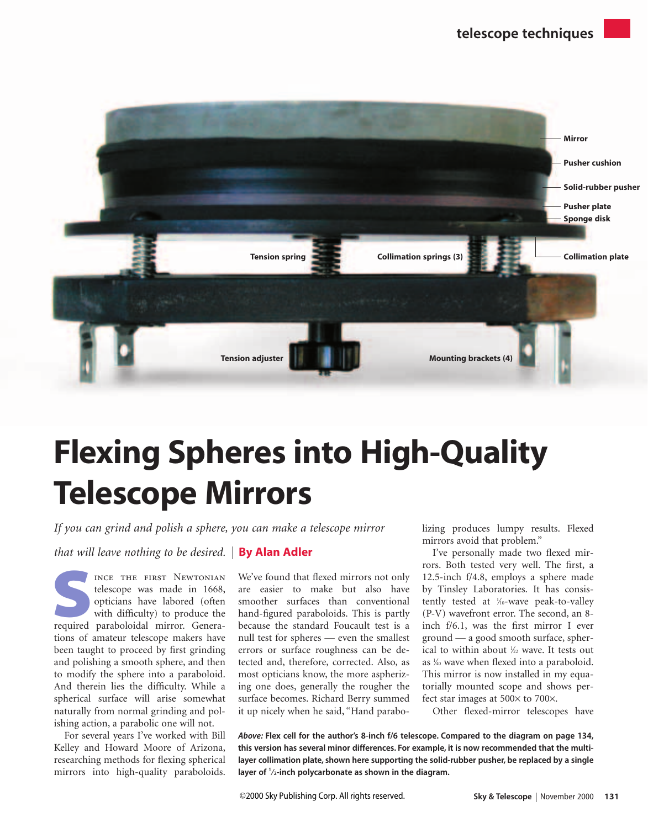

# Flexing Spheres into High-Quality Telescope Mirrors

*If you can grind and polish a sphere, you can make a telescope mirror* 

*that will leave nothing to be desired.* **By Alan Adler** 

INCE THE FIRST NEWTONIAN<br>telescope was made in 1668,<br>opticians have labored (often<br>with difficulty) to produce the<br>required paraboloidal mirror. Generatelescope was made in 1668, opticians have labored (often with difficulty) to produce the tions of amateur telescope makers have been taught to proceed by first grinding and polishing a smooth sphere, and then to modify the sphere into a paraboloid. And therein lies the difficulty. While a spherical surface will arise somewhat naturally from normal grinding and polishing action, a parabolic one will not.

For several years I've worked with Bill Kelley and Howard Moore of Arizona, researching methods for flexing spherical mirrors into high-quality paraboloids.

We've found that flexed mirrors not only are easier to make but also have smoother surfaces than conventional hand-figured paraboloids. This is partly because the standard Foucault test is a null test for spheres — even the smallest errors or surface roughness can be detected and, therefore, corrected. Also, as most opticians know, the more aspherizing one does, generally the rougher the surface becomes. Richard Berry summed it up nicely when he said, "Hand parabolizing produces lumpy results. Flexed mirrors avoid that problem."

I've personally made two flexed mirrors. Both tested very well. The first, a 12.5-inch f/4.8, employs a sphere made by Tinsley Laboratories. It has consistently tested at <sup>1/10</sup>-wave peak-to-valley (P-V) wavefront error. The second, an 8 inch f/6.1, was the first mirror I ever ground — a good smooth surface, spherical to within about 1 ⁄22 wave. It tests out as 1 ⁄40 wave when flexed into a paraboloid. This mirror is now installed in my equatorially mounted scope and shows perfect star images at 500× to 700×.

Other flexed-mirror telescopes have

*Above:* **Flex cell for the author's 8-inch f/6 telescope. Compared to the diagram on page 134, this version has several minor differences. For example, it is now recommended that the multilayer collimation plate, shown here supporting the solid-rubber pusher, be replaced by a single layer of <sup>1</sup> ⁄2-inch polycarbonate as shown in the diagram.**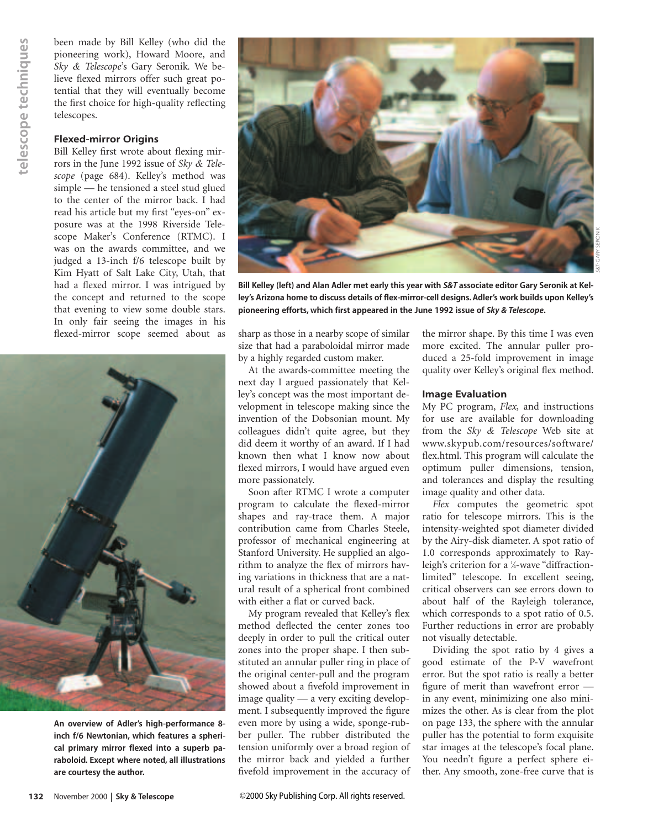been made by Bill Kelley (who did the pioneering work), Howard Moore, and *Sky & Telescope*'s Gary Seronik*.* We believe flexed mirrors offer such great potential that they will eventually become the first choice for high-quality reflecting telescopes.

#### **Flexed-mirror Origins**

Bill Kelley first wrote about flexing mirrors in the June 1992 issue of *Sky & Telescope* (page 684). Kelley's method was simple — he tensioned a steel stud glued to the center of the mirror back. I had read his article but my first "eyes-on" exposure was at the 1998 Riverside Telescope Maker's Conference (RTMC). I was on the awards committee, and we judged a 13-inch f/6 telescope built by Kim Hyatt of Salt Lake City, Utah, that had a flexed mirror. I was intrigued by the concept and returned to the scope that evening to view some double stars. In only fair seeing the images in his



**An overview of Adler's high-performance 8 inch f/6 Newtonian, which features a spherical primary mirror flexed into a superb paraboloid. Except where noted, all illustrations are courtesy the author.**



**Bill Kelley (left) and Alan Adler met early this year with** *S&T* **associate editor Gary Seronik at Kelley's Arizona home to discuss details of flex-mirror-cell designs. Adler's work builds upon Kelley's pioneering efforts, which first appeared in the June 1992 issue of** *Sky & Telescope***.**

flexed-mirror scope seemed about as sharp as those in a nearby scope of similar size that had a paraboloidal mirror made by a highly regarded custom maker.

> At the awards-committee meeting the next day I argued passionately that Kelley's concept was the most important development in telescope making since the invention of the Dobsonian mount. My colleagues didn't quite agree, but they did deem it worthy of an award. If I had known then what I know now about flexed mirrors, I would have argued even more passionately.

> Soon after RTMC I wrote a computer program to calculate the flexed-mirror shapes and ray-trace them. A major contribution came from Charles Steele, professor of mechanical engineering at Stanford University. He supplied an algorithm to analyze the flex of mirrors having variations in thickness that are a natural result of a spherical front combined with either a flat or curved back.

> My program revealed that Kelley's flex method deflected the center zones too deeply in order to pull the critical outer zones into the proper shape. I then substituted an annular puller ring in place of the original center-pull and the program showed about a fivefold improvement in image quality — a very exciting development. I subsequently improved the figure even more by using a wide, sponge-rubber puller. The rubber distributed the tension uniformly over a broad region of the mirror back and yielded a further fivefold improvement in the accuracy of

the mirror shape. By this time I was even more excited. The annular puller produced a 25-fold improvement in image quality over Kelley's original flex method.

#### **Image Evaluation**

My PC program, *Flex,* and instructions for use are available for downloading from the *Sky & Telescope* Web site at www.skypub.com/resources/software/ flex.html. This program will calculate the optimum puller dimensions, tension, and tolerances and display the resulting image quality and other data.

*Flex* computes the geometric spot ratio for telescope mirrors. This is the intensity-weighted spot diameter divided by the Airy-disk diameter. A spot ratio of 1.0 corresponds approximately to Rayleigh's criterion for a 1 ⁄4-wave "diffractionlimited" telescope. In excellent seeing, critical observers can see errors down to about half of the Rayleigh tolerance, which corresponds to a spot ratio of 0.5. Further reductions in error are probably not visually detectable.

Dividing the spot ratio by 4 gives a good estimate of the P-V wavefront error. But the spot ratio is really a better figure of merit than wavefront error in any event, minimizing one also minimizes the other. As is clear from the plot on page 133, the sphere with the annular puller has the potential to form exquisite star images at the telescope's focal plane. You needn't figure a perfect sphere either. Any smooth, zone-free curve that is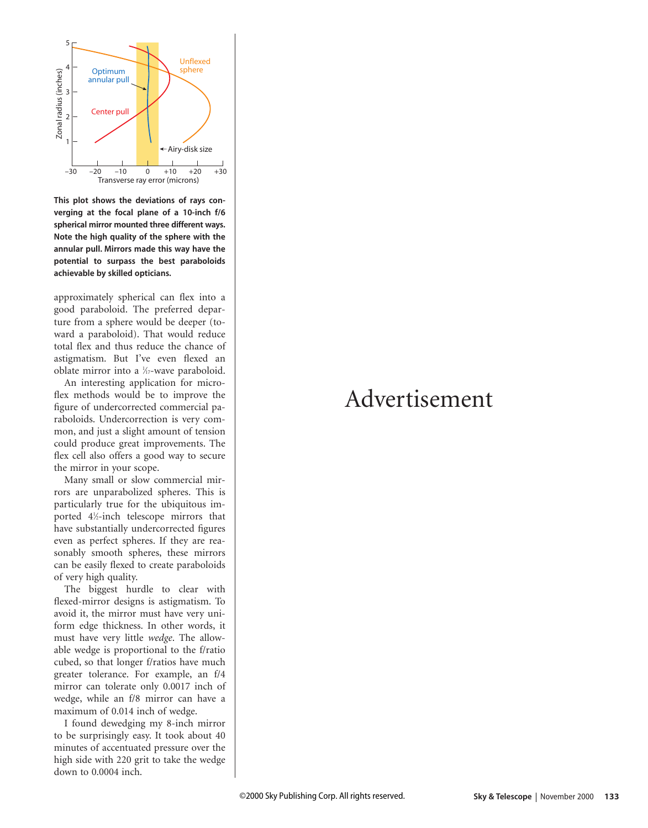

**This plot shows the deviations of rays converging at the focal plane of a 10-inch f/6 spherical mirror mounted three different ways. Note the high quality of the sphere with the annular pull. Mirrors made this way have the potential to surpass the best paraboloids achievable by skilled opticians.**

approximately spherical can flex into a good paraboloid. The preferred departure from a sphere would be deeper (toward a paraboloid). That would reduce total flex and thus reduce the chance of astigmatism. But I've even flexed an oblate mirror into a 1/<sub>17</sub>-wave paraboloid.

An interesting application for microflex methods would be to improve the figure of undercorrected commercial paraboloids. Undercorrection is very common, and just a slight amount of tension could produce great improvements. The flex cell also offers a good way to secure the mirror in your scope.

Many small or slow commercial mirrors are unparabolized spheres. This is particularly true for the ubiquitous imported 41 ⁄2-inch telescope mirrors that have substantially undercorrected figures even as perfect spheres. If they are reasonably smooth spheres, these mirrors can be easily flexed to create paraboloids of very high quality.

The biggest hurdle to clear with flexed-mirror designs is astigmatism. To avoid it, the mirror must have very uniform edge thickness. In other words, it must have very little *wedge*. The allowable wedge is proportional to the f/ratio cubed, so that longer f/ratios have much greater tolerance. For example, an f/4 mirror can tolerate only 0.0017 inch of wedge, while an f/8 mirror can have a maximum of 0.014 inch of wedge.

I found dewedging my 8-inch mirror to be surprisingly easy. It took about 40 minutes of accentuated pressure over the high side with 220 grit to take the wedge down to 0.0004 inch.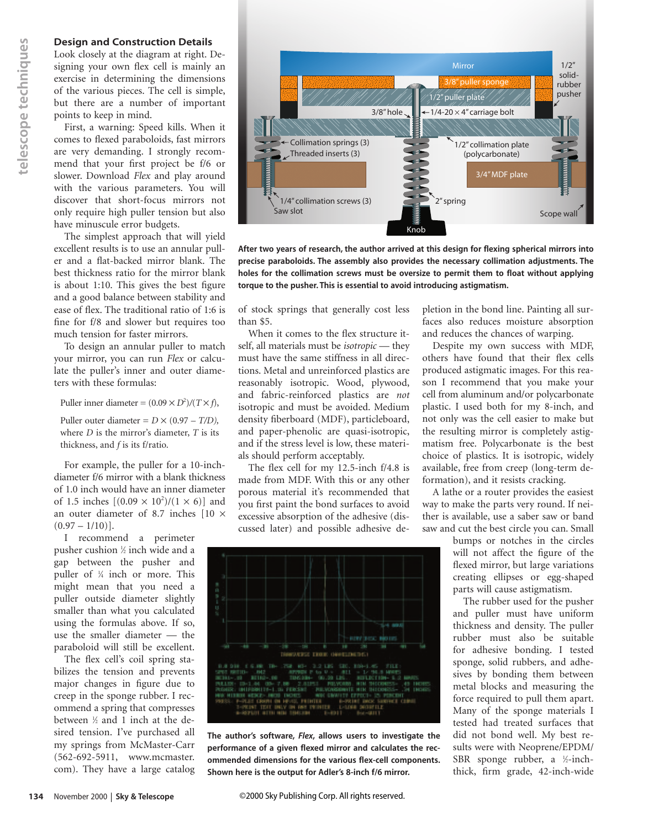#### **Design and Construction Details**

Look closely at the diagram at right. Designing your own flex cell is mainly an exercise in determining the dimensions of the various pieces. The cell is simple, but there are a number of important points to keep in mind.

First, a warning: Speed kills. When it comes to flexed paraboloids, fast mirrors are very demanding. I strongly recommend that your first project be f/6 or slower. Download *Flex* and play around with the various parameters. You will discover that short-focus mirrors not only require high puller tension but also have minuscule error budgets.

The simplest approach that will yield excellent results is to use an annular puller and a flat-backed mirror blank. The best thickness ratio for the mirror blank is about 1:10. This gives the best figure and a good balance between stability and ease of flex. The traditional ratio of 1:6 is fine for f/8 and slower but requires too much tension for faster mirrors.

To design an annular puller to match your mirror, you can run *Flex* or calculate the puller's inner and outer diameters with these formulas:

Puller inner diameter =  $(0.09 \times D^2)/(T \times f)$ ,

Puller outer diameter =  $D \times (0.97 - T/D)$ , where *D* is the mirror's diameter, *T* is its thickness, and *f* is its f/ratio.

For example, the puller for a 10-inchdiameter f/6 mirror with a blank thickness of 1.0 inch would have an inner diameter of 1.5 inches  $[(0.09 \times 10^2)/(1 \times 6)]$  and an outer diameter of 8.7 inches [10 ×  $(0.97 - 1/10)$ .

I recommend a perimeter pusher cushion 1 ⁄2 inch wide and a gap between the pusher and puller of <sup>1</sup> ⁄4 inch or more. This might mean that you need a puller outside diameter slightly smaller than what you calculated using the formulas above. If so, use the smaller diameter — the paraboloid will still be excellent.

The flex cell's coil spring stabilizes the tension and prevents major changes in figure due to creep in the sponge rubber. I recommend a spring that compresses between 1 ⁄2 and 1 inch at the desired tension. I've purchased all my springs from McMaster-Carr (562-692-5911, www.mcmaster. com). They have a large catalog **134 Existin and Construction**<br> **134 Existing and Construction**<br> **134** system determining the diagram<br>
of the various pieces. The complement of position of the various pieces in determining the<br>
Tirst, a warning: Speed



**After two years of research, the author arrived at this design for flexing spherical mirrors into precise paraboloids. The assembly also provides the necessary collimation adjustments. The holes for the collimation screws must be oversize to permit them to float without applying torque to the pusher. This is essential to avoid introducing astigmatism.**

of stock springs that generally cost less than \$5.

When it comes to the flex structure itself, all materials must be *isotropic* — they must have the same stiffness in all directions. Metal and unreinforced plastics are reasonably isotropic. Wood, plywood, and fabric-reinforced plastics are *not* isotropic and must be avoided. Medium density fiberboard (MDF), particleboard, and paper-phenolic are quasi-isotropic, and if the stress level is low, these materials should perform acceptably.

The flex cell for my 12.5-inch f/4.8 is made from MDF. With this or any other porous material it's recommended that you first paint the bond surfaces to avoid excessive absorption of the adhesive (discussed later) and possible adhesive de-



**The author's software,** *Flex***, allows users to investigate the performance of a given flexed mirror and calculates the recommended dimensions for the various flex-cell components. Shown here is the output for Adler's 8-inch f/6 mirror.**

pletion in the bond line. Painting all surfaces also reduces moisture absorption and reduces the chances of warping.

Despite my own success with MDF, others have found that their flex cells produced astigmatic images. For this reason I recommend that you make your cell from aluminum and/or polycarbonate plastic. I used both for my 8-inch, and not only was the cell easier to make but the resulting mirror is completely astigmatism free. Polycarbonate is the best choice of plastics. It is isotropic, widely available, free from creep (long-term deformation), and it resists cracking.

A lathe or a router provides the easiest way to make the parts very round. If neither is available, use a saber saw or band saw and cut the best circle you can. Small

> bumps or notches in the circles will not affect the figure of the flexed mirror, but large variations creating ellipses or egg-shaped parts will cause astigmatism.

> The rubber used for the pusher and puller must have uniform thickness and density. The puller rubber must also be suitable for adhesive bonding. I tested sponge, solid rubbers, and adhesives by bonding them between metal blocks and measuring the force required to pull them apart. Many of the sponge materials I tested had treated surfaces that did not bond well. My best results were with Neoprene/EPDM/ SBR sponge rubber, a <sup>1</sup>/<sub>2</sub>-inchthick, firm grade, 42-inch-wide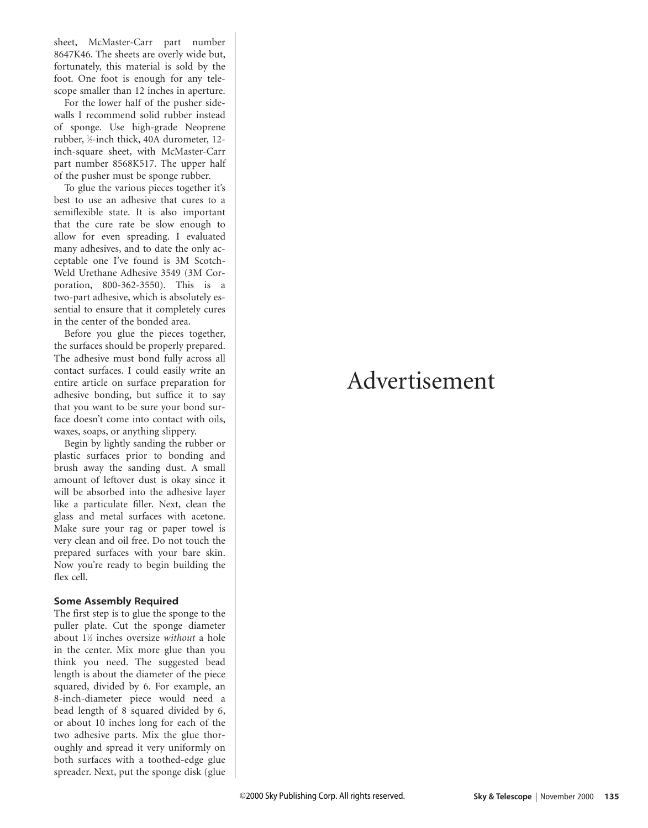sheet, McMaster-Carr part number 8647K46. The sheets are overly wide but, fortunately, this material is sold by the foot. One foot is enough for any telescope smaller than 12 inches in aperture.

For the lower half of the pusher sidewalls I recommend solid rubber instead of sponge. Use high-grade Neoprene rubber, 1⁄2-inch thick, 40A durometer, 12 inch-square sheet, with McMaster-Carr part number 8568K517. The upper half of the pusher must be sponge rubber.

To glue the various pieces together it's best to use an adhesive that cures to a semiflexible state. It is also important that the cure rate be slow enough to allow for even spreading. I evaluated many adhesives, and to date the only acceptable one I've found is 3M Scotch-Weld Urethane Adhesive 3549 (3M Corporation, 800-362-3550). This is a two-part adhesive, which is absolutely essential to ensure that it completely cures in the center of the bonded area.

Before you glue the pieces together, the surfaces should be properly prepared. The adhesive must bond fully across all contact surfaces. I could easily write an entire article on surface preparation for adhesive bonding, but suffice it to say that you want to be sure your bond surface doesn't come into contact with oils, waxes, soaps, or anything slippery.

Begin by lightly sanding the rubber or plastic surfaces prior to bonding and brush away the sanding dust. A small amount of leftover dust is okay since it will be absorbed into the adhesive layer like a particulate filler. Next, clean the glass and metal surfaces with acetone. Make sure your rag or paper towel is very clean and oil free. Do not touch the prepared surfaces with your bare skin. Now you're ready to begin building the flex cell.

#### **Some Assembly Required**

The first step is to glue the sponge to the puller plate. Cut the sponge diameter about 1 1⁄2 inches oversize *without* a hole in the center. Mix more glue than you think you need. The suggested bead length is about the diameter of the piece squared, divided by 6. For example, an 8-inch-diameter piece would need a bead length of 8 squared divided by 6, or about 10 inches long for each of the two adhesive parts. Mix the glue thoroughly and spread it very uniformly on both surfaces with a toothed-edge glue spreader. Next, put the sponge disk (glue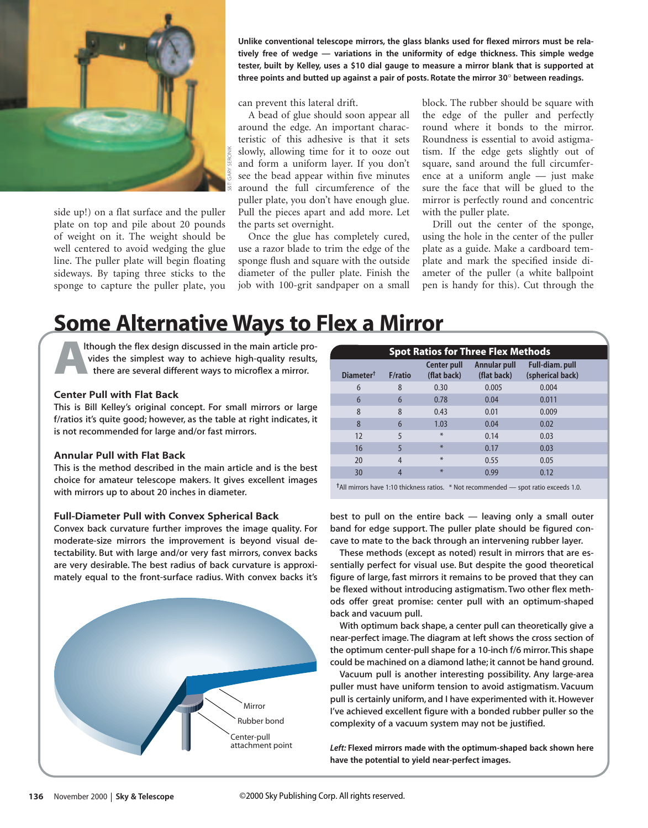

side up!) on a flat surface and the puller plate on top and pile about 20 pounds of weight on it. The weight should be well centered to avoid wedging the glue line. The puller plate will begin floating sideways. By taping three sticks to the sponge to capture the puller plate, you

**Unlike conventional telescope mirrors, the glass blanks used for flexed mirrors must be relatively free of wedge — variations in the uniformity of edge thickness. This simple wedge tester, built by Kelley, uses a \$10 dial gauge to measure a mirror blank that is supported at three points and butted up against a pair of posts. Rotate the mirror 30**° **between readings.**

can prevent this lateral drift.

A bead of glue should soon appear all around the edge. An important characteristic of this adhesive is that it sets slowly, allowing time for it to ooze out and form a uniform layer. If you don't see the bead appear within five minutes around the full circumference of the puller plate, you don't have enough glue. Pull the pieces apart and add more. Let the parts set overnight.

Once the glue has completely cured, use a razor blade to trim the edge of the sponge flush and square with the outside diameter of the puller plate. Finish the job with 100-grit sandpaper on a small

block. The rubber should be square with the edge of the puller and perfectly round where it bonds to the mirror. Roundness is essential to avoid astigmatism. If the edge gets slightly out of square, sand around the full circumference at a uniform angle — just make sure the face that will be glued to the mirror is perfectly round and concentric with the puller plate.

Drill out the center of the sponge, using the hole in the center of the puller plate as a guide. Make a cardboard template and mark the specified inside diameter of the puller (a white ballpoint pen is handy for this). Cut through the

### Some Alternative Ways to Flex a Mirror

Ithough the flex design discussed in the main article provides the simplest way to achieve high-quality results, there are several different ways to microflex a mirror.

#### **Center Pull with Flat Back**

This is Bill Kelley's original concept. For small mirrors or large f/ratios it's quite good; however, as the table at right indicates, it is not recommended for large and/or fast mirrors.

#### **Annular Pull with Flat Back**

This is the method described in the main article and is the best choice for amateur telescope makers. It gives excellent images with mirrors up to about 20 inches in diameter.

#### **Full-Diameter Pull with Convex Spherical Back**

Convex back curvature further improves the image quality. For moderate-size mirrors the improvement is beyond visual detectability. But with large and/or very fast mirrors, convex backs are very desirable. The best radius of back curvature is approximately equal to the front-surface radius. With convex backs it's



|    | <b>Spot Ratios for Three Flex Methods</b> |                 |                            |                                    |                                           |  |
|----|-------------------------------------------|-----------------|----------------------------|------------------------------------|-------------------------------------------|--|
|    | Diameter <sup>†</sup>                     | <b>F</b> /ratio | Center pull<br>(flat back) | <b>Annular pull</b><br>(flat back) | <b>Full-diam.pull</b><br>(spherical back) |  |
|    | 6                                         | 8               | 0.30                       | 0.005                              | 0.004                                     |  |
|    | 6                                         | 6               | 0.78                       | 0.04                               | 0.011                                     |  |
|    | 8                                         | 8               | 0.43                       | 0.01                               | 0.009                                     |  |
|    | 8                                         | 6               | 1.03                       | 0.04                               | 0.02                                      |  |
|    | 12                                        | 5               | $\ast$                     | 0.14                               | 0.03                                      |  |
|    | 16                                        | 5               | *                          | 0.17                               | 0.03                                      |  |
|    | 20                                        | $\overline{4}$  | $*$                        | 0.55                               | 0.05                                      |  |
|    | 30                                        | $\overline{4}$  | $*$                        | 0.99                               | 0.12                                      |  |
| ÷. |                                           |                 |                            |                                    |                                           |  |

**†**All mirrors have 1:10 thickness ratios. \* Not recommended — spot ratio exceeds 1.0.

best to pull on the entire back — leaving only a small outer band for edge support. The puller plate should be figured concave to mate to the back through an intervening rubber layer.

These methods (except as noted) result in mirrors that are essentially perfect for visual use. But despite the good theoretical figure of large, fast mirrors it remains to be proved that they can be flexed without introducing astigmatism. Two other flex methods offer great promise: center pull with an optimum-shaped back and vacuum pull.

With optimum back shape, a center pull can theoretically give a near-perfect image. The diagram at left shows the cross section of the optimum center-pull shape for a 10-inch f/6 mirror. This shape could be machined on a diamond lathe; it cannot be hand ground.

Vacuum pull is another interesting possibility. Any large-area puller must have uniform tension to avoid astigmatism. Vacuum pull is certainly uniform, and I have experimented with it. However I've achieved excellent figure with a bonded rubber puller so the complexity of a vacuum system may not be justified.

*Left:* **Flexed mirrors made with the optimum-shaped back shown here have the potential to yield near-perfect images.**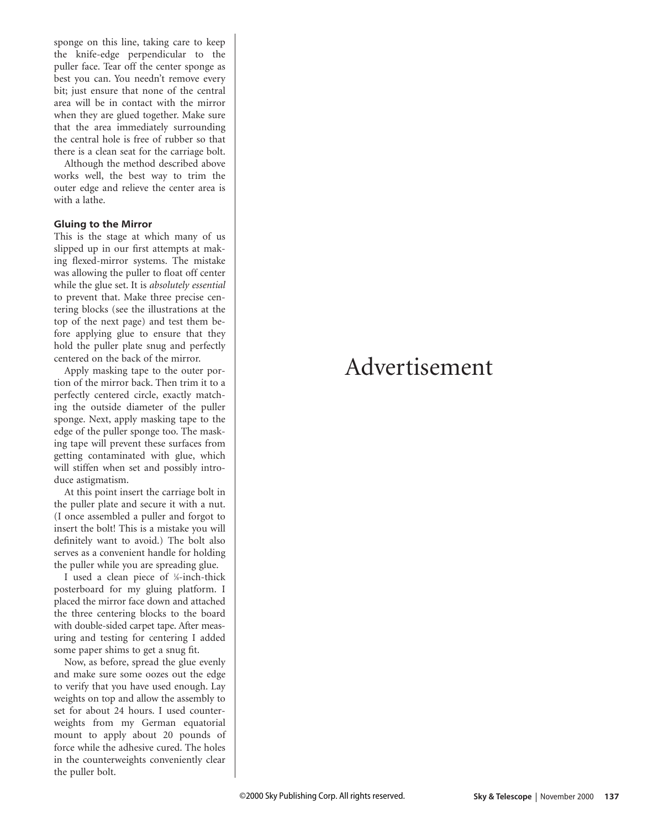sponge on this line, taking care to keep the knife-edge perpendicular to the puller face. Tear off the center sponge as best you can. You needn't remove every bit; just ensure that none of the central area will be in contact with the mirror when they are glued together. Make sure that the area immediately surrounding the central hole is free of rubber so that there is a clean seat for the carriage bolt.

Although the method described above wo rks well, the best way to trim the outer edge and relieve the center area is with a lathe.

#### **Gluing to the Mirror**

This is the stage at which many of us slipped up in our first attempts at making flexed-mirror systems. The mistake was allowing the puller to float off center while the glue set. It is *absolutely essential* to prevent that. Make three precise centering blocks (see the illustrations at the top of the next page) and test them before applying glue to ensure that they hold the puller plate snug and perfectly centered on the back of the mirror.

Apply masking tape to the outer portion of the mirror back. Then trim it to a perfectly centered circle, exactly matching the outside diameter of the puller sponge. Next, apply masking tape to the edge of the puller sponge too. The masking tape will prevent these surfaces from getting contaminated with glue, which will stiffen when set and possibly introduce astigmatism.

At this point insert the carriage bolt in the puller plate and secure it with a nut. (I once assembled a puller and forgot to insert the bolt! This is a mistake you will definitely want to avoid.) The bolt also serves as a convenient handle for holding the puller while you are spreading glue.

I used a clean piece of <sup>1/8</sup>-inch-thick posterboard for my gluing platform. I placed the mirror face down and attached the three centering blocks to the board with double-sided carpet tape. After measuring and testing for centering I added some paper shims to get a snug fit.

Now, as before, spread the glue evenly and make sure some oozes out the edge to ve rify that you have used enough. Lay weights on top and allow the assembly to set for about 24 hours. I used counterweights from my German equatorial mount to apply about 20 pounds of force while the adhesive cured. The holes in the counterweights conveniently clear the puller bolt.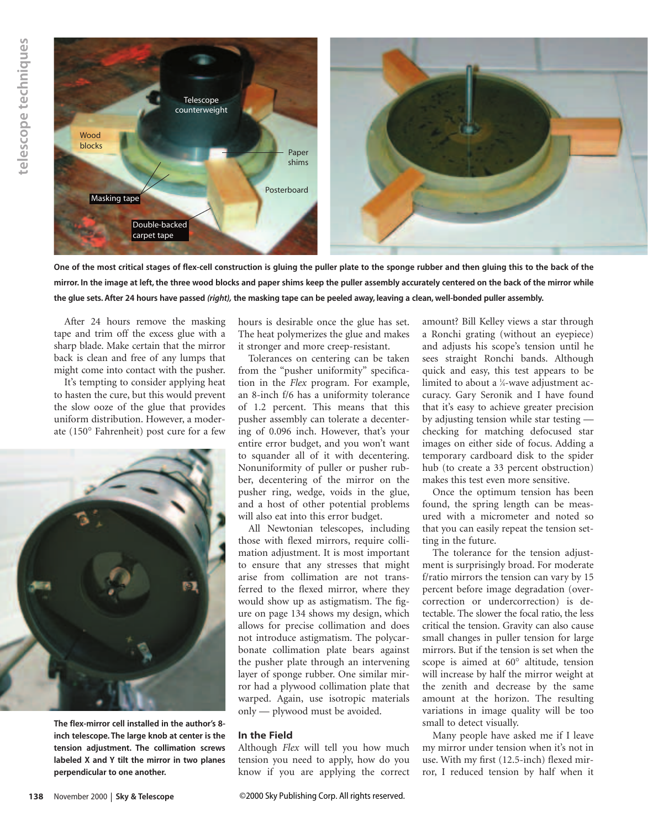

**One of the most critical stages of flex-cell construction is gluing the puller plate to the sponge rubber and then gluing this to the back of the mirror. In the image at left, the three wood blocks and paper shims keep the puller assembly accurately centered on the back of the mirror while the glue sets. After 24 hours have passed** *(right),* **the masking tape can be peeled away, leaving a clean, well-bonded puller assembly.**

After 24 hours remove the masking tape and trim off the excess glue with a sharp blade. Make certain that the mirror back is clean and free of any lumps that might come into contact with the pusher.

It's tempting to consider applying heat to hasten the cure, but this would prevent the slow ooze of the glue that provides uniform distribution. However, a moderate (150° Fahrenheit) post cure for a few



**The flex-mirror cell installed in the author's 8 inch telescope. The large knob at center is the tension adjustment. The collimation screws labeled X and Y tilt the mirror in two planes perpendicular to one another.**

hours is desirable once the glue has set. The heat polymerizes the glue and makes it stronger and more creep-resistant.

Tolerances on centering can be taken from the "pusher uniformity" specification in the *Flex* program. For example, an 8-inch f/6 has a uniformity tolerance of 1.2 percent. This means that this pusher assembly can tolerate a decentering of 0.096 inch. However, that's your entire error budget, and you won't want to squander all of it with decentering. Nonuniformity of puller or pusher rubber, decentering of the mirror on the pusher ring, wedge, voids in the glue, and a host of other potential problems will also eat into this error budget.

All Newtonian telescopes, including those with flexed mirrors, require collimation adjustment. It is most important to ensure that any stresses that might arise from collimation are not transferred to the flexed mirror, where they would show up as astigmatism. The figure on page 134 shows my design, which allows for precise collimation and does not introduce astigmatism. The polycarbonate collimation plate bears against the pusher plate through an intervening layer of sponge rubber. One similar mirror had a plywood collimation plate that warped. Again, use isotropic materials only — plywood must be avoided.

#### **In the Field**

Although *Flex* will tell you how much tension you need to apply, how do you know if you are applying the correct

amount? Bill Kelley views a star through a Ronchi grating (without an eyepiece) and adjusts his scope's tension until he sees straight Ronchi bands. Although quick and easy, this test appears to be limited to about a 1 ⁄4-wave adjustment accuracy. Gary Seronik and I have found that it's easy to achieve greater precision by adjusting tension while star testing checking for matching defocused star images on either side of focus. Adding a temporary cardboard disk to the spider hub (to create a 33 percent obstruction) makes this test even more sensitive.

Once the optimum tension has been found, the spring length can be measured with a micrometer and noted so that you can easily repeat the tension setting in the future.

The tolerance for the tension adjustment is surprisingly broad. For moderate f/ratio mirrors the tension can vary by 15 percent before image degradation (overcorrection or undercorrection) is detectable. The slower the focal ratio, the less critical the tension. Gravity can also cause small changes in puller tension for large mirrors. But if the tension is set when the scope is aimed at 60° altitude, tension will increase by half the mirror weight at the zenith and decrease by the same amount at the horizon. The resulting variations in image quality will be too small to detect visually.

Many people have asked me if I leave my mirror under tension when it's not in use. With my first (12.5-inch) flexed mirror, I reduced tension by half when it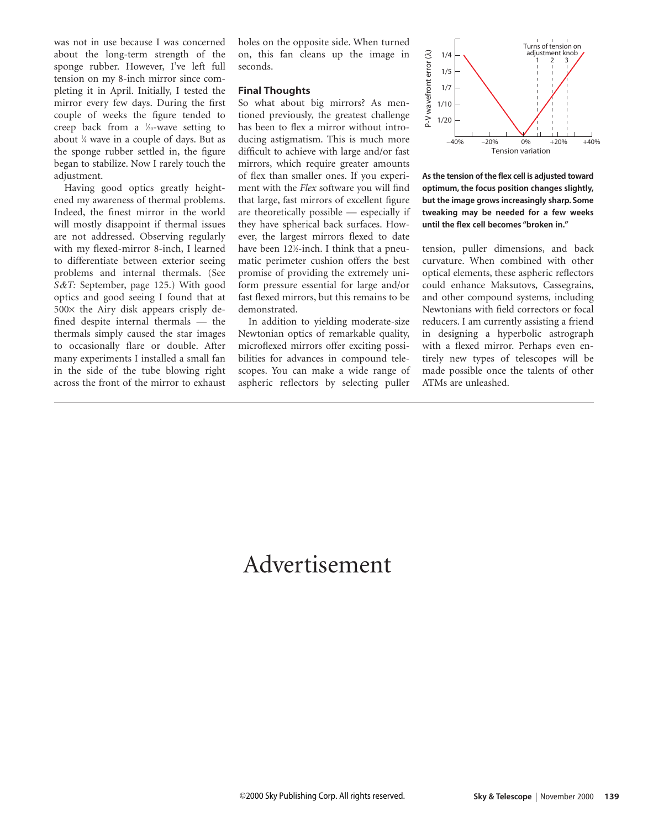was not in use because I was concerned about the long-term strength of the sponge rubber. However, I've left full tension on my 8-inch mirror since completing it in April. Initially, I tested the mirror every few days. During the first couple of weeks the figure tended to creep back from a <sup>1/20</sup>-wave setting to about 1 ⁄4 wave in a couple of days. But as the sponge rubber settled in, the figure began to stabilize. Now I rarely touch the adjustment.

Having good optics greatly heightened my awareness of thermal problems. Indeed, the finest mirror in the world will mostly disappoint if thermal issues are not addressed. Observing regularly with my flexed-mirror 8-inch, I learned to differentiate between exterior seeing problems and internal thermals. (See *S&T:* September, page 125.) With good optics and good seeing I found that at  $500\times$  the Airy disk appears crisply defined despite internal thermals — the thermals simply caused the star images to occasionally flare or double. After many experiments I installed a small fan in the side of the tube blowing right across the front of the mirror to exhaust

holes on the opposite side. When turned on, this fan cleans up the image in seconds.

#### **Final Thoughts**

So what about big mirrors? As mentioned previously, the greatest challenge has been to flex a mirror without introducing astigmatism. This is much more difficult to achieve with large and/or fast mirrors, which require greater amounts of flex than smaller ones. If you experiment with the *Flex* software you will find that large, fast mirrors of excellent figure are theoretically possible — especially if they have spherical back surfaces. However, the largest mirrors flexed to date have been 12½-inch. I think that a pneumatic perimeter cushion offers the best promise of providing the extremely uniform pressure essential for large and/or fast flexed mirrors, but this remains to be demonstrated.

In addition to yielding moderate-size Newtonian optics of remarkable quality, microflexed mirrors offer exciting possibilities for advances in compound telescopes. You can make a wide range of aspheric reflectors by selecting puller



**As the tension of the flex cell is adjusted toward optimum, the focus position changes slightly, but the image grows increasingly sharp. Some tweaking may be needed for a few weeks until the flex cell becomes "broken in."**

tension, puller dimensions, and back curvature. When combined with other optical elements, these aspheric reflectors could enhance Maksutovs, Cassegrains, and other compound systems, including Newtonians with field correctors or focal reducers. I am currently assisting a friend in designing a hyperbolic astrograph with a flexed mirror. Perhaps even entirely new types of telescopes will be made possible once the talents of other ATMs are unleashed.